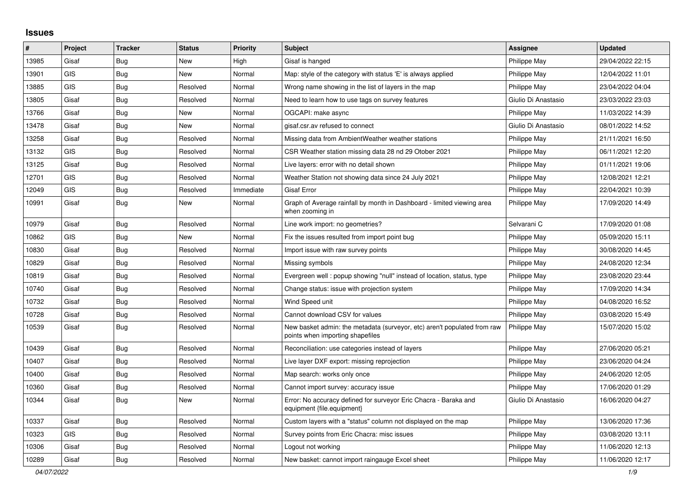## **Issues**

| #     | Project    | <b>Tracker</b> | <b>Status</b> | <b>Priority</b> | <b>Subject</b>                                                                                               | <b>Assignee</b>     | <b>Updated</b>   |
|-------|------------|----------------|---------------|-----------------|--------------------------------------------------------------------------------------------------------------|---------------------|------------------|
| 13985 | Gisaf      | Bug            | <b>New</b>    | High            | Gisaf is hanged                                                                                              | Philippe May        | 29/04/2022 22:15 |
| 13901 | <b>GIS</b> | <b>Bug</b>     | <b>New</b>    | Normal          | Map: style of the category with status 'E' is always applied                                                 | Philippe May        | 12/04/2022 11:01 |
| 13885 | <b>GIS</b> | Bug            | Resolved      | Normal          | Wrong name showing in the list of layers in the map                                                          | Philippe May        | 23/04/2022 04:04 |
| 13805 | Gisaf      | Bug            | Resolved      | Normal          | Need to learn how to use tags on survey features                                                             | Giulio Di Anastasio | 23/03/2022 23:03 |
| 13766 | Gisaf      | Bug            | New           | Normal          | OGCAPI: make async                                                                                           | Philippe May        | 11/03/2022 14:39 |
| 13478 | Gisaf      | Bug            | New           | Normal          | gisaf.csr.av refused to connect                                                                              | Giulio Di Anastasio | 08/01/2022 14:52 |
| 13258 | Gisaf      | <b>Bug</b>     | Resolved      | Normal          | Missing data from AmbientWeather weather stations                                                            | Philippe May        | 21/11/2021 16:50 |
| 13132 | <b>GIS</b> | Bug            | Resolved      | Normal          | CSR Weather station missing data 28 nd 29 Otober 2021                                                        | Philippe May        | 06/11/2021 12:20 |
| 13125 | Gisaf      | Bug            | Resolved      | Normal          | Live layers: error with no detail shown                                                                      | Philippe May        | 01/11/2021 19:06 |
| 12701 | <b>GIS</b> | Bug            | Resolved      | Normal          | Weather Station not showing data since 24 July 2021                                                          | Philippe May        | 12/08/2021 12:21 |
| 12049 | <b>GIS</b> | Bug            | Resolved      | Immediate       | Gisaf Error                                                                                                  | Philippe May        | 22/04/2021 10:39 |
| 10991 | Gisaf      | Bug            | <b>New</b>    | Normal          | Graph of Average rainfall by month in Dashboard - limited viewing area<br>when zooming in                    | Philippe May        | 17/09/2020 14:49 |
| 10979 | Gisaf      | <b>Bug</b>     | Resolved      | Normal          | Line work import: no geometries?                                                                             | Selvarani C         | 17/09/2020 01:08 |
| 10862 | <b>GIS</b> | Bug            | New           | Normal          | Fix the issues resulted from import point bug                                                                | Philippe May        | 05/09/2020 15:11 |
| 10830 | Gisaf      | <b>Bug</b>     | Resolved      | Normal          | Import issue with raw survey points                                                                          | Philippe May        | 30/08/2020 14:45 |
| 10829 | Gisaf      | <b>Bug</b>     | Resolved      | Normal          | Missing symbols                                                                                              | Philippe May        | 24/08/2020 12:34 |
| 10819 | Gisaf      | Bug            | Resolved      | Normal          | Evergreen well: popup showing "null" instead of location, status, type                                       | Philippe May        | 23/08/2020 23:44 |
| 10740 | Gisaf      | Bug            | Resolved      | Normal          | Change status: issue with projection system                                                                  | Philippe May        | 17/09/2020 14:34 |
| 10732 | Gisaf      | Bug            | Resolved      | Normal          | Wind Speed unit                                                                                              | Philippe May        | 04/08/2020 16:52 |
| 10728 | Gisaf      | <b>Bug</b>     | Resolved      | Normal          | Cannot download CSV for values                                                                               | Philippe May        | 03/08/2020 15:49 |
| 10539 | Gisaf      | Bug            | Resolved      | Normal          | New basket admin: the metadata (surveyor, etc) aren't populated from raw<br>points when importing shapefiles | Philippe May        | 15/07/2020 15:02 |
| 10439 | Gisaf      | Bug            | Resolved      | Normal          | Reconciliation: use categories instead of layers                                                             | Philippe May        | 27/06/2020 05:21 |
| 10407 | Gisaf      | Bug            | Resolved      | Normal          | Live layer DXF export: missing reprojection                                                                  | Philippe May        | 23/06/2020 04:24 |
| 10400 | Gisaf      | <b>Bug</b>     | Resolved      | Normal          | Map search: works only once                                                                                  | Philippe May        | 24/06/2020 12:05 |
| 10360 | Gisaf      | <b>Bug</b>     | Resolved      | Normal          | Cannot import survey: accuracy issue                                                                         | Philippe May        | 17/06/2020 01:29 |
| 10344 | Gisaf      | <b>Bug</b>     | <b>New</b>    | Normal          | Error: No accuracy defined for surveyor Eric Chacra - Baraka and<br>equipment {file.equipment}               | Giulio Di Anastasio | 16/06/2020 04:27 |
| 10337 | Gisaf      | Bug            | Resolved      | Normal          | Custom layers with a "status" column not displayed on the map                                                | Philippe May        | 13/06/2020 17:36 |
| 10323 | <b>GIS</b> | Bug            | Resolved      | Normal          | Survey points from Eric Chacra: misc issues                                                                  | Philippe May        | 03/08/2020 13:11 |
| 10306 | Gisaf      | Bug            | Resolved      | Normal          | Logout not working                                                                                           | Philippe May        | 11/06/2020 12:13 |
| 10289 | Gisaf      | <b>Bug</b>     | Resolved      | Normal          | New basket: cannot import raingauge Excel sheet                                                              | Philippe May        | 11/06/2020 12:17 |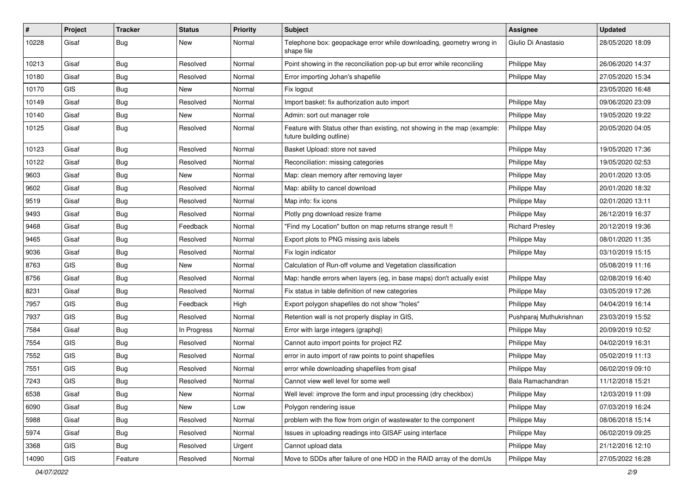| $\pmb{\#}$ | Project    | <b>Tracker</b> | <b>Status</b> | Priority | <b>Subject</b>                                                                                        | <b>Assignee</b>         | <b>Updated</b>   |
|------------|------------|----------------|---------------|----------|-------------------------------------------------------------------------------------------------------|-------------------------|------------------|
| 10228      | Gisaf      | <b>Bug</b>     | New           | Normal   | Telephone box: geopackage error while downloading, geometry wrong in<br>shape file                    | Giulio Di Anastasio     | 28/05/2020 18:09 |
| 10213      | Gisaf      | <b>Bug</b>     | Resolved      | Normal   | Point showing in the reconciliation pop-up but error while reconciling                                | Philippe May            | 26/06/2020 14:37 |
| 10180      | Gisaf      | <b>Bug</b>     | Resolved      | Normal   | Error importing Johan's shapefile                                                                     | Philippe May            | 27/05/2020 15:34 |
| 10170      | GIS        | <b>Bug</b>     | New           | Normal   | Fix logout                                                                                            |                         | 23/05/2020 16:48 |
| 10149      | Gisaf      | <b>Bug</b>     | Resolved      | Normal   | Import basket: fix authorization auto import                                                          | Philippe May            | 09/06/2020 23:09 |
| 10140      | Gisaf      | <b>Bug</b>     | New           | Normal   | Admin: sort out manager role                                                                          | Philippe May            | 19/05/2020 19:22 |
| 10125      | Gisaf      | <b>Bug</b>     | Resolved      | Normal   | Feature with Status other than existing, not showing in the map (example:<br>future building outline) | Philippe May            | 20/05/2020 04:05 |
| 10123      | Gisaf      | <b>Bug</b>     | Resolved      | Normal   | Basket Upload: store not saved                                                                        | Philippe May            | 19/05/2020 17:36 |
| 10122      | Gisaf      | <b>Bug</b>     | Resolved      | Normal   | Reconciliation: missing categories                                                                    | Philippe May            | 19/05/2020 02:53 |
| 9603       | Gisaf      | <b>Bug</b>     | New           | Normal   | Map: clean memory after removing layer                                                                | Philippe May            | 20/01/2020 13:05 |
| 9602       | Gisaf      | <b>Bug</b>     | Resolved      | Normal   | Map: ability to cancel download                                                                       | Philippe May            | 20/01/2020 18:32 |
| 9519       | Gisaf      | <b>Bug</b>     | Resolved      | Normal   | Map info: fix icons                                                                                   | Philippe May            | 02/01/2020 13:11 |
| 9493       | Gisaf      | <b>Bug</b>     | Resolved      | Normal   | Plotly png download resize frame                                                                      | Philippe May            | 26/12/2019 16:37 |
| 9468       | Gisaf      | <b>Bug</b>     | Feedback      | Normal   | "Find my Location" button on map returns strange result !!                                            | <b>Richard Presley</b>  | 20/12/2019 19:36 |
| 9465       | Gisaf      | <b>Bug</b>     | Resolved      | Normal   | Export plots to PNG missing axis labels                                                               | Philippe May            | 08/01/2020 11:35 |
| 9036       | Gisaf      | Bug            | Resolved      | Normal   | Fix login indicator                                                                                   | Philippe May            | 03/10/2019 15:15 |
| 8763       | <b>GIS</b> | <b>Bug</b>     | <b>New</b>    | Normal   | Calculation of Run-off volume and Vegetation classification                                           |                         | 05/08/2019 11:16 |
| 8756       | Gisaf      | <b>Bug</b>     | Resolved      | Normal   | Map: handle errors when layers (eg, in base maps) don't actually exist                                | Philippe May            | 02/08/2019 16:40 |
| 8231       | Gisaf      | <b>Bug</b>     | Resolved      | Normal   | Fix status in table definition of new categories                                                      | Philippe May            | 03/05/2019 17:26 |
| 7957       | GIS        | <b>Bug</b>     | Feedback      | High     | Export polygon shapefiles do not show "holes"                                                         | Philippe May            | 04/04/2019 16:14 |
| 7937       | <b>GIS</b> | Bug            | Resolved      | Normal   | Retention wall is not properly display in GIS,                                                        | Pushparaj Muthukrishnan | 23/03/2019 15:52 |
| 7584       | Gisaf      | Bug            | In Progress   | Normal   | Error with large integers (graphql)                                                                   | Philippe May            | 20/09/2019 10:52 |
| 7554       | <b>GIS</b> | <b>Bug</b>     | Resolved      | Normal   | Cannot auto import points for project RZ                                                              | Philippe May            | 04/02/2019 16:31 |
| 7552       | <b>GIS</b> | <b>Bug</b>     | Resolved      | Normal   | error in auto import of raw points to point shapefiles                                                | Philippe May            | 05/02/2019 11:13 |
| 7551       | GIS        | <b>Bug</b>     | Resolved      | Normal   | error while downloading shapefiles from gisaf                                                         | Philippe May            | 06/02/2019 09:10 |
| 7243       | <b>GIS</b> | <b>Bug</b>     | Resolved      | Normal   | Cannot view well level for some well                                                                  | Bala Ramachandran       | 11/12/2018 15:21 |
| 6538       | Gisaf      | Bug            | New           | Normal   | Well level: improve the form and input processing (dry checkbox)                                      | Philippe May            | 12/03/2019 11:09 |
| 6090       | Gisaf      | <b>Bug</b>     | New           | Low      | Polygon rendering issue                                                                               | Philippe May            | 07/03/2019 16:24 |
| 5988       | Gisaf      | <b>Bug</b>     | Resolved      | Normal   | problem with the flow from origin of wastewater to the component                                      | Philippe May            | 08/06/2018 15:14 |
| 5974       | Gisaf      | <b>Bug</b>     | Resolved      | Normal   | Issues in uploading readings into GISAF using interface                                               | Philippe May            | 06/02/2019 09:25 |
| 3368       | GIS        | <b>Bug</b>     | Resolved      | Urgent   | Cannot upload data                                                                                    | Philippe May            | 21/12/2016 12:10 |
| 14090      | GIS        | Feature        | Resolved      | Normal   | Move to SDDs after failure of one HDD in the RAID array of the domUs                                  | Philippe May            | 27/05/2022 16:28 |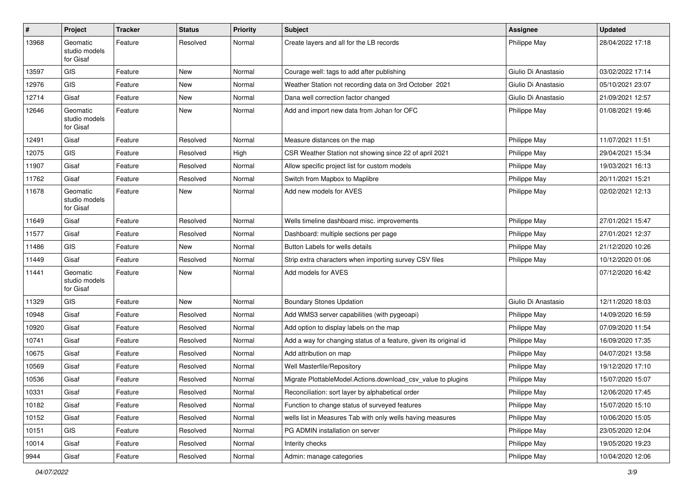| #     | Project                                | Tracker | <b>Status</b> | <b>Priority</b> | Subject                                                           | <b>Assignee</b>     | <b>Updated</b>   |
|-------|----------------------------------------|---------|---------------|-----------------|-------------------------------------------------------------------|---------------------|------------------|
| 13968 | Geomatic<br>studio models<br>for Gisaf | Feature | Resolved      | Normal          | Create layers and all for the LB records                          | Philippe May        | 28/04/2022 17:18 |
| 13597 | <b>GIS</b>                             | Feature | New           | Normal          | Courage well: tags to add after publishing                        | Giulio Di Anastasio | 03/02/2022 17:14 |
| 12976 | <b>GIS</b>                             | Feature | <b>New</b>    | Normal          | Weather Station not recording data on 3rd October 2021            | Giulio Di Anastasio | 05/10/2021 23:07 |
| 12714 | Gisaf                                  | Feature | New           | Normal          | Dana well correction factor changed                               | Giulio Di Anastasio | 21/09/2021 12:57 |
| 12646 | Geomatic<br>studio models<br>for Gisaf | Feature | New           | Normal          | Add and import new data from Johan for OFC                        | Philippe May        | 01/08/2021 19:46 |
| 12491 | Gisaf                                  | Feature | Resolved      | Normal          | Measure distances on the map                                      | Philippe May        | 11/07/2021 11:51 |
| 12075 | <b>GIS</b>                             | Feature | Resolved      | High            | CSR Weather Station not showing since 22 of april 2021            | Philippe May        | 29/04/2021 15:34 |
| 11907 | Gisaf                                  | Feature | Resolved      | Normal          | Allow specific project list for custom models                     | Philippe May        | 19/03/2021 16:13 |
| 11762 | Gisaf                                  | Feature | Resolved      | Normal          | Switch from Mapbox to Maplibre                                    | Philippe May        | 20/11/2021 15:21 |
| 11678 | Geomatic<br>studio models<br>for Gisaf | Feature | New           | Normal          | Add new models for AVES                                           | Philippe May        | 02/02/2021 12:13 |
| 11649 | Gisaf                                  | Feature | Resolved      | Normal          | Wells timeline dashboard misc. improvements                       | Philippe May        | 27/01/2021 15:47 |
| 11577 | Gisaf                                  | Feature | Resolved      | Normal          | Dashboard: multiple sections per page                             | Philippe May        | 27/01/2021 12:37 |
| 11486 | <b>GIS</b>                             | Feature | New           | Normal          | Button Labels for wells details                                   | Philippe May        | 21/12/2020 10:26 |
| 11449 | Gisaf                                  | Feature | Resolved      | Normal          | Strip extra characters when importing survey CSV files            | Philippe May        | 10/12/2020 01:06 |
| 11441 | Geomatic<br>studio models<br>for Gisaf | Feature | New           | Normal          | Add models for AVES                                               |                     | 07/12/2020 16:42 |
| 11329 | GIS                                    | Feature | New           | Normal          | <b>Boundary Stones Updation</b>                                   | Giulio Di Anastasio | 12/11/2020 18:03 |
| 10948 | Gisaf                                  | Feature | Resolved      | Normal          | Add WMS3 server capabilities (with pygeoapi)                      | Philippe May        | 14/09/2020 16:59 |
| 10920 | Gisaf                                  | Feature | Resolved      | Normal          | Add option to display labels on the map                           | Philippe May        | 07/09/2020 11:54 |
| 10741 | Gisaf                                  | Feature | Resolved      | Normal          | Add a way for changing status of a feature, given its original id | Philippe May        | 16/09/2020 17:35 |
| 10675 | Gisaf                                  | Feature | Resolved      | Normal          | Add attribution on map                                            | Philippe May        | 04/07/2021 13:58 |
| 10569 | Gisaf                                  | Feature | Resolved      | Normal          | Well Masterfile/Repository                                        | Philippe May        | 19/12/2020 17:10 |
| 10536 | Gisaf                                  | Feature | Resolved      | Normal          | Migrate PlottableModel.Actions.download csv value to plugins      | Philippe May        | 15/07/2020 15:07 |
| 10331 | Gisaf                                  | Feature | Resolved      | Normal          | Reconciliation: sort layer by alphabetical order                  | Philippe May        | 12/06/2020 17:45 |
| 10182 | Gisaf                                  | Feature | Resolved      | Normal          | Function to change status of surveyed features                    | Philippe May        | 15/07/2020 15:10 |
| 10152 | Gisaf                                  | Feature | Resolved      | Normal          | wells list in Measures Tab with only wells having measures        | Philippe May        | 10/06/2020 15:05 |
| 10151 | GIS                                    | Feature | Resolved      | Normal          | PG ADMIN installation on server                                   | Philippe May        | 23/05/2020 12:04 |
| 10014 | Gisaf                                  | Feature | Resolved      | Normal          | Interity checks                                                   | Philippe May        | 19/05/2020 19:23 |
| 9944  | Gisaf                                  | Feature | Resolved      | Normal          | Admin: manage categories                                          | Philippe May        | 10/04/2020 12:06 |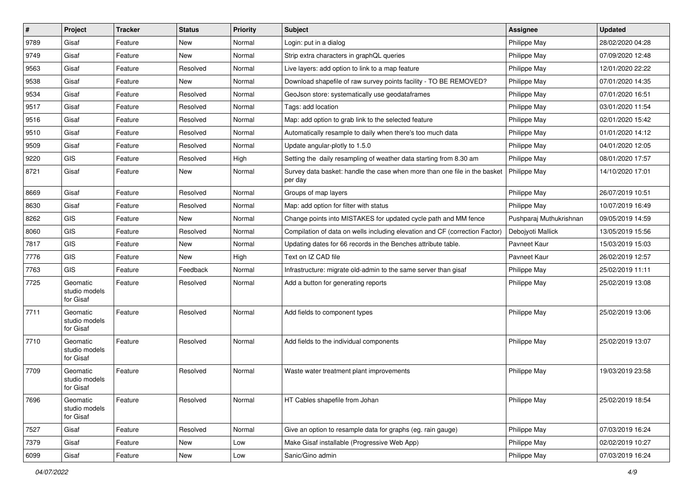| $\vert$ # | Project                                | <b>Tracker</b> | <b>Status</b> | <b>Priority</b> | <b>Subject</b>                                                                       | <b>Assignee</b>         | <b>Updated</b>   |
|-----------|----------------------------------------|----------------|---------------|-----------------|--------------------------------------------------------------------------------------|-------------------------|------------------|
| 9789      | Gisaf                                  | Feature        | New           | Normal          | Login: put in a dialog                                                               | Philippe May            | 28/02/2020 04:28 |
| 9749      | Gisaf                                  | Feature        | New           | Normal          | Strip extra characters in graphQL queries                                            | Philippe May            | 07/09/2020 12:48 |
| 9563      | Gisaf                                  | Feature        | Resolved      | Normal          | Live layers: add option to link to a map feature                                     | Philippe May            | 12/01/2020 22:22 |
| 9538      | Gisaf                                  | Feature        | New           | Normal          | Download shapefile of raw survey points facility - TO BE REMOVED?                    | Philippe May            | 07/01/2020 14:35 |
| 9534      | Gisaf                                  | Feature        | Resolved      | Normal          | GeoJson store: systematically use geodataframes                                      | Philippe May            | 07/01/2020 16:51 |
| 9517      | Gisaf                                  | Feature        | Resolved      | Normal          | Tags: add location                                                                   | Philippe May            | 03/01/2020 11:54 |
| 9516      | Gisaf                                  | Feature        | Resolved      | Normal          | Map: add option to grab link to the selected feature                                 | Philippe May            | 02/01/2020 15:42 |
| 9510      | Gisaf                                  | Feature        | Resolved      | Normal          | Automatically resample to daily when there's too much data                           | Philippe May            | 01/01/2020 14:12 |
| 9509      | Gisaf                                  | Feature        | Resolved      | Normal          | Update angular-plotly to 1.5.0                                                       | Philippe May            | 04/01/2020 12:05 |
| 9220      | GIS                                    | Feature        | Resolved      | High            | Setting the daily resampling of weather data starting from 8.30 am                   | Philippe May            | 08/01/2020 17:57 |
| 8721      | Gisaf                                  | Feature        | New           | Normal          | Survey data basket: handle the case when more than one file in the basket<br>per day | Philippe May            | 14/10/2020 17:01 |
| 8669      | Gisaf                                  | Feature        | Resolved      | Normal          | Groups of map layers                                                                 | Philippe May            | 26/07/2019 10:51 |
| 8630      | Gisaf                                  | Feature        | Resolved      | Normal          | Map: add option for filter with status                                               | Philippe May            | 10/07/2019 16:49 |
| 8262      | GIS                                    | Feature        | New           | Normal          | Change points into MISTAKES for updated cycle path and MM fence                      | Pushparaj Muthukrishnan | 09/05/2019 14:59 |
| 8060      | GIS                                    | Feature        | Resolved      | Normal          | Compilation of data on wells including elevation and CF (correction Factor)          | Debojyoti Mallick       | 13/05/2019 15:56 |
| 7817      | GIS                                    | Feature        | <b>New</b>    | Normal          | Updating dates for 66 records in the Benches attribute table.                        | Pavneet Kaur            | 15/03/2019 15:03 |
| 7776      | GIS                                    | Feature        | New           | High            | Text on IZ CAD file                                                                  | Pavneet Kaur            | 26/02/2019 12:57 |
| 7763      | GIS                                    | Feature        | Feedback      | Normal          | Infrastructure: migrate old-admin to the same server than gisaf                      | Philippe May            | 25/02/2019 11:11 |
| 7725      | Geomatic<br>studio models<br>for Gisaf | Feature        | Resolved      | Normal          | Add a button for generating reports                                                  | Philippe May            | 25/02/2019 13:08 |
| 7711      | Geomatic<br>studio models<br>for Gisaf | Feature        | Resolved      | Normal          | Add fields to component types                                                        | Philippe May            | 25/02/2019 13:06 |
| 7710      | Geomatic<br>studio models<br>for Gisaf | Feature        | Resolved      | Normal          | Add fields to the individual components                                              | Philippe May            | 25/02/2019 13:07 |
| 7709      | Geomatic<br>studio models<br>for Gisaf | Feature        | Resolved      | Normal          | Waste water treatment plant improvements                                             | Philippe May            | 19/03/2019 23:58 |
| 7696      | Geomatic<br>studio models<br>for Gisaf | Feature        | Resolved      | Normal          | HT Cables shapefile from Johan                                                       | Philippe May            | 25/02/2019 18:54 |
| 7527      | Gisaf                                  | Feature        | Resolved      | Normal          | Give an option to resample data for graphs (eg. rain gauge)                          | Philippe May            | 07/03/2019 16:24 |
| 7379      | Gisaf                                  | Feature        | New           | Low             | Make Gisaf installable (Progressive Web App)                                         | Philippe May            | 02/02/2019 10:27 |
| 6099      | Gisaf                                  | Feature        | New           | Low             | Sanic/Gino admin                                                                     | Philippe May            | 07/03/2019 16:24 |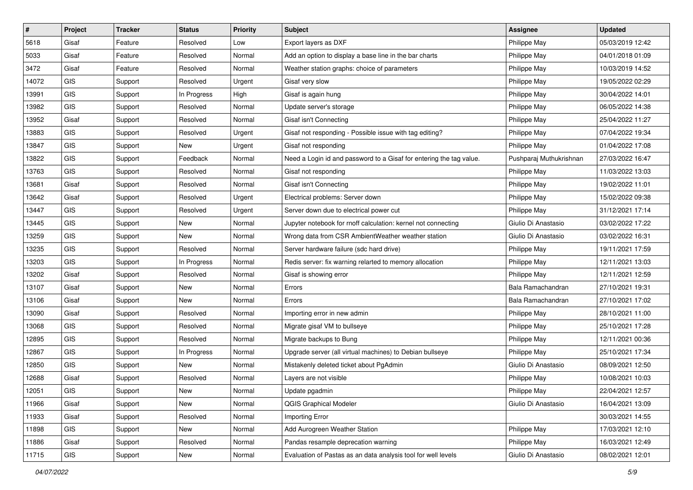| $\vert$ # | Project    | <b>Tracker</b> | <b>Status</b> | <b>Priority</b> | Subject                                                             | <b>Assignee</b>         | <b>Updated</b>   |
|-----------|------------|----------------|---------------|-----------------|---------------------------------------------------------------------|-------------------------|------------------|
| 5618      | Gisaf      | Feature        | Resolved      | Low             | Export layers as DXF                                                | Philippe May            | 05/03/2019 12:42 |
| 5033      | Gisaf      | Feature        | Resolved      | Normal          | Add an option to display a base line in the bar charts              | Philippe May            | 04/01/2018 01:09 |
| 3472      | Gisaf      | Feature        | Resolved      | Normal          | Weather station graphs: choice of parameters                        | Philippe May            | 10/03/2019 14:52 |
| 14072     | <b>GIS</b> | Support        | Resolved      | Urgent          | Gisaf very slow                                                     | Philippe May            | 19/05/2022 02:29 |
| 13991     | <b>GIS</b> | Support        | In Progress   | High            | Gisaf is again hung                                                 | Philippe May            | 30/04/2022 14:01 |
| 13982     | <b>GIS</b> | Support        | Resolved      | Normal          | Update server's storage                                             | Philippe May            | 06/05/2022 14:38 |
| 13952     | Gisaf      | Support        | Resolved      | Normal          | Gisaf isn't Connecting                                              | Philippe May            | 25/04/2022 11:27 |
| 13883     | <b>GIS</b> | Support        | Resolved      | Urgent          | Gisaf not responding - Possible issue with tag editing?             | Philippe May            | 07/04/2022 19:34 |
| 13847     | GIS        | Support        | New           | Urgent          | Gisaf not responding                                                | Philippe May            | 01/04/2022 17:08 |
| 13822     | <b>GIS</b> | Support        | Feedback      | Normal          | Need a Login id and password to a Gisaf for entering the tag value. | Pushparaj Muthukrishnan | 27/03/2022 16:47 |
| 13763     | <b>GIS</b> | Support        | Resolved      | Normal          | Gisaf not responding                                                | Philippe May            | 11/03/2022 13:03 |
| 13681     | Gisaf      | Support        | Resolved      | Normal          | Gisaf isn't Connecting                                              | Philippe May            | 19/02/2022 11:01 |
| 13642     | Gisaf      | Support        | Resolved      | Urgent          | Electrical problems: Server down                                    | Philippe May            | 15/02/2022 09:38 |
| 13447     | <b>GIS</b> | Support        | Resolved      | Urgent          | Server down due to electrical power cut                             | Philippe May            | 31/12/2021 17:14 |
| 13445     | <b>GIS</b> | Support        | New           | Normal          | Jupyter notebook for rnoff calculation: kernel not connecting       | Giulio Di Anastasio     | 03/02/2022 17:22 |
| 13259     | <b>GIS</b> | Support        | New           | Normal          | Wrong data from CSR AmbientWeather weather station                  | Giulio Di Anastasio     | 03/02/2022 16:31 |
| 13235     | <b>GIS</b> | Support        | Resolved      | Normal          | Server hardware failure (sdc hard drive)                            | Philippe May            | 19/11/2021 17:59 |
| 13203     | <b>GIS</b> | Support        | In Progress   | Normal          | Redis server: fix warning relarted to memory allocation             | Philippe May            | 12/11/2021 13:03 |
| 13202     | Gisaf      | Support        | Resolved      | Normal          | Gisaf is showing error                                              | Philippe May            | 12/11/2021 12:59 |
| 13107     | Gisaf      | Support        | New           | Normal          | Errors                                                              | Bala Ramachandran       | 27/10/2021 19:31 |
| 13106     | Gisaf      | Support        | New           | Normal          | Errors                                                              | Bala Ramachandran       | 27/10/2021 17:02 |
| 13090     | Gisaf      | Support        | Resolved      | Normal          | Importing error in new admin                                        | Philippe May            | 28/10/2021 11:00 |
| 13068     | <b>GIS</b> | Support        | Resolved      | Normal          | Migrate gisaf VM to bullseye                                        | Philippe May            | 25/10/2021 17:28 |
| 12895     | <b>GIS</b> | Support        | Resolved      | Normal          | Migrate backups to Bung                                             | Philippe May            | 12/11/2021 00:36 |
| 12867     | GIS        | Support        | In Progress   | Normal          | Upgrade server (all virtual machines) to Debian bullseye            | Philippe May            | 25/10/2021 17:34 |
| 12850     | <b>GIS</b> | Support        | New           | Normal          | Mistakenly deleted ticket about PgAdmin                             | Giulio Di Anastasio     | 08/09/2021 12:50 |
| 12688     | Gisaf      | Support        | Resolved      | Normal          | Layers are not visible                                              | Philippe May            | 10/08/2021 10:03 |
| 12051     | GIS        | Support        | New           | Normal          | Update pgadmin                                                      | Philippe May            | 22/04/2021 12:57 |
| 11966     | Gisaf      | Support        | New           | Normal          | <b>QGIS Graphical Modeler</b>                                       | Giulio Di Anastasio     | 16/04/2021 13:09 |
| 11933     | Gisaf      | Support        | Resolved      | Normal          | Importing Error                                                     |                         | 30/03/2021 14:55 |
| 11898     | <b>GIS</b> | Support        | New           | Normal          | Add Aurogreen Weather Station                                       | Philippe May            | 17/03/2021 12:10 |
| 11886     | Gisaf      | Support        | Resolved      | Normal          | Pandas resample deprecation warning                                 | Philippe May            | 16/03/2021 12:49 |
| 11715     | GIS        | Support        | New           | Normal          | Evaluation of Pastas as an data analysis tool for well levels       | Giulio Di Anastasio     | 08/02/2021 12:01 |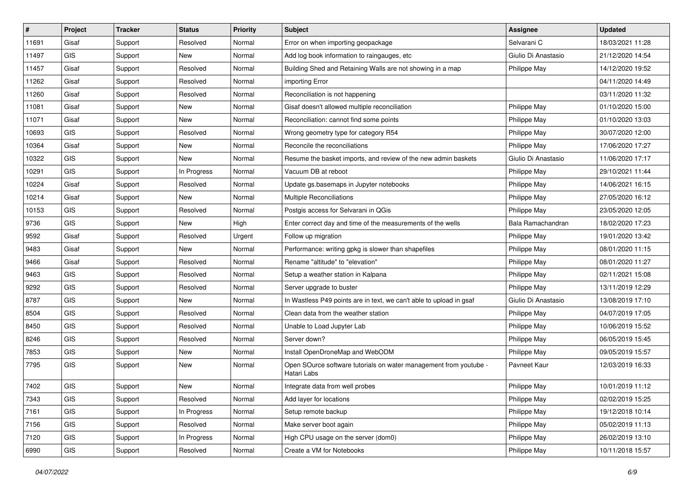| #     | Project    | <b>Tracker</b> | <b>Status</b> | <b>Priority</b> | Subject                                                                          | <b>Assignee</b>     | <b>Updated</b>   |
|-------|------------|----------------|---------------|-----------------|----------------------------------------------------------------------------------|---------------------|------------------|
| 11691 | Gisaf      | Support        | Resolved      | Normal          | Error on when importing geopackage                                               | Selvarani C         | 18/03/2021 11:28 |
| 11497 | <b>GIS</b> | Support        | New           | Normal          | Add log book information to raingauges, etc                                      | Giulio Di Anastasio | 21/12/2020 14:54 |
| 11457 | Gisaf      | Support        | Resolved      | Normal          | Building Shed and Retaining Walls are not showing in a map                       | Philippe May        | 14/12/2020 19:52 |
| 11262 | Gisaf      | Support        | Resolved      | Normal          | importing Error                                                                  |                     | 04/11/2020 14:49 |
| 11260 | Gisaf      | Support        | Resolved      | Normal          | Reconciliation is not happening                                                  |                     | 03/11/2020 11:32 |
| 11081 | Gisaf      | Support        | New           | Normal          | Gisaf doesn't allowed multiple reconciliation                                    | Philippe May        | 01/10/2020 15:00 |
| 11071 | Gisaf      | Support        | New           | Normal          | Reconciliation: cannot find some points                                          | Philippe May        | 01/10/2020 13:03 |
| 10693 | <b>GIS</b> | Support        | Resolved      | Normal          | Wrong geometry type for category R54                                             | Philippe May        | 30/07/2020 12:00 |
| 10364 | Gisaf      | Support        | <b>New</b>    | Normal          | Reconcile the reconciliations                                                    | Philippe May        | 17/06/2020 17:27 |
| 10322 | <b>GIS</b> | Support        | New           | Normal          | Resume the basket imports, and review of the new admin baskets                   | Giulio Di Anastasio | 11/06/2020 17:17 |
| 10291 | <b>GIS</b> | Support        | In Progress   | Normal          | Vacuum DB at reboot                                                              | Philippe May        | 29/10/2021 11:44 |
| 10224 | Gisaf      | Support        | Resolved      | Normal          | Update gs.basemaps in Jupyter notebooks                                          | Philippe May        | 14/06/2021 16:15 |
| 10214 | Gisaf      | Support        | New           | Normal          | <b>Multiple Reconciliations</b>                                                  | Philippe May        | 27/05/2020 16:12 |
| 10153 | <b>GIS</b> | Support        | Resolved      | Normal          | Postgis access for Selvarani in QGis                                             | Philippe May        | 23/05/2020 12:05 |
| 9736  | GIS        | Support        | New           | High            | Enter correct day and time of the measurements of the wells                      | Bala Ramachandran   | 18/02/2020 17:23 |
| 9592  | Gisaf      | Support        | Resolved      | Urgent          | Follow up migration                                                              | Philippe May        | 19/01/2020 13:42 |
| 9483  | Gisaf      | Support        | New           | Normal          | Performance: writing gpkg is slower than shapefiles                              | Philippe May        | 08/01/2020 11:15 |
| 9466  | Gisaf      | Support        | Resolved      | Normal          | Rename "altitude" to "elevation"                                                 | Philippe May        | 08/01/2020 11:27 |
| 9463  | <b>GIS</b> | Support        | Resolved      | Normal          | Setup a weather station in Kalpana                                               | Philippe May        | 02/11/2021 15:08 |
| 9292  | <b>GIS</b> | Support        | Resolved      | Normal          | Server upgrade to buster                                                         | Philippe May        | 13/11/2019 12:29 |
| 8787  | <b>GIS</b> | Support        | New           | Normal          | In Wastless P49 points are in text, we can't able to upload in gsaf              | Giulio Di Anastasio | 13/08/2019 17:10 |
| 8504  | <b>GIS</b> | Support        | Resolved      | Normal          | Clean data from the weather station                                              | Philippe May        | 04/07/2019 17:05 |
| 8450  | GIS        | Support        | Resolved      | Normal          | Unable to Load Jupyter Lab                                                       | Philippe May        | 10/06/2019 15:52 |
| 8246  | GIS        | Support        | Resolved      | Normal          | Server down?                                                                     | Philippe May        | 06/05/2019 15:45 |
| 7853  | GIS        | Support        | New           | Normal          | Install OpenDroneMap and WebODM                                                  | Philippe May        | 09/05/2019 15:57 |
| 7795  | <b>GIS</b> | Support        | New           | Normal          | Open SOurce software tutorials on water management from youtube -<br>Hatari Labs | Pavneet Kaur        | 12/03/2019 16:33 |
| 7402  | GIS        | Support        | New           | Normal          | Integrate data from well probes                                                  | Philippe May        | 10/01/2019 11:12 |
| 7343  | GIS        | Support        | Resolved      | Normal          | Add layer for locations                                                          | Philippe May        | 02/02/2019 15:25 |
| 7161  | GIS        | Support        | In Progress   | Normal          | Setup remote backup                                                              | Philippe May        | 19/12/2018 10:14 |
| 7156  | GIS        | Support        | Resolved      | Normal          | Make server boot again                                                           | Philippe May        | 05/02/2019 11:13 |
| 7120  | GIS        | Support        | In Progress   | Normal          | High CPU usage on the server (dom0)                                              | Philippe May        | 26/02/2019 13:10 |
| 6990  | GIS        | Support        | Resolved      | Normal          | Create a VM for Notebooks                                                        | Philippe May        | 10/11/2018 15:57 |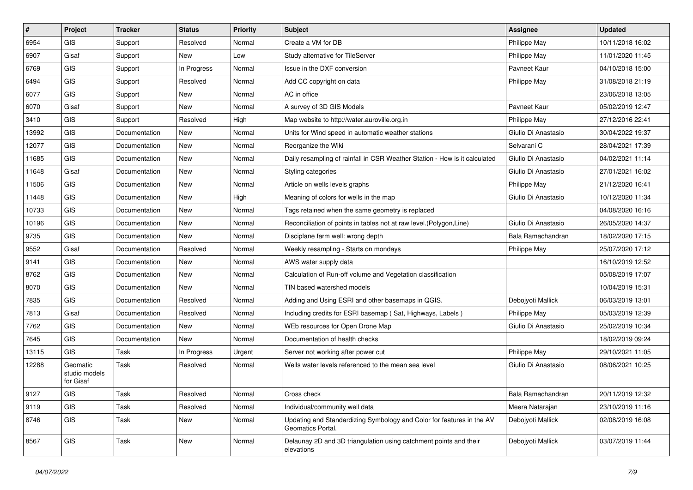| $\#$  | Project                                | <b>Tracker</b> | <b>Status</b> | <b>Priority</b> | Subject                                                                                    | <b>Assignee</b>     | <b>Updated</b>   |
|-------|----------------------------------------|----------------|---------------|-----------------|--------------------------------------------------------------------------------------------|---------------------|------------------|
| 6954  | GIS                                    | Support        | Resolved      | Normal          | Create a VM for DB                                                                         | Philippe May        | 10/11/2018 16:02 |
| 6907  | Gisaf                                  | Support        | New           | Low             | Study alternative for TileServer                                                           | Philippe May        | 11/01/2020 11:45 |
| 6769  | <b>GIS</b>                             | Support        | In Progress   | Normal          | Issue in the DXF conversion                                                                | Pavneet Kaur        | 04/10/2018 15:00 |
| 6494  | <b>GIS</b>                             | Support        | Resolved      | Normal          | Add CC copyright on data                                                                   | Philippe May        | 31/08/2018 21:19 |
| 6077  | <b>GIS</b>                             | Support        | New           | Normal          | AC in office                                                                               |                     | 23/06/2018 13:05 |
| 6070  | Gisaf                                  | Support        | New           | Normal          | A survey of 3D GIS Models                                                                  | Pavneet Kaur        | 05/02/2019 12:47 |
| 3410  | <b>GIS</b>                             | Support        | Resolved      | High            | Map website to http://water.auroville.org.in                                               | Philippe May        | 27/12/2016 22:41 |
| 13992 | <b>GIS</b>                             | Documentation  | New           | Normal          | Units for Wind speed in automatic weather stations                                         | Giulio Di Anastasio | 30/04/2022 19:37 |
| 12077 | <b>GIS</b>                             | Documentation  | New           | Normal          | Reorganize the Wiki                                                                        | Selvarani C         | 28/04/2021 17:39 |
| 11685 | <b>GIS</b>                             | Documentation  | New           | Normal          | Daily resampling of rainfall in CSR Weather Station - How is it calculated                 | Giulio Di Anastasio | 04/02/2021 11:14 |
| 11648 | Gisaf                                  | Documentation  | New           | Normal          | Styling categories                                                                         | Giulio Di Anastasio | 27/01/2021 16:02 |
| 11506 | <b>GIS</b>                             | Documentation  | New           | Normal          | Article on wells levels graphs                                                             | Philippe May        | 21/12/2020 16:41 |
| 11448 | <b>GIS</b>                             | Documentation  | New           | High            | Meaning of colors for wells in the map                                                     | Giulio Di Anastasio | 10/12/2020 11:34 |
| 10733 | <b>GIS</b>                             | Documentation  | New           | Normal          | Tags retained when the same geometry is replaced                                           |                     | 04/08/2020 16:16 |
| 10196 | <b>GIS</b>                             | Documentation  | <b>New</b>    | Normal          | Reconciliation of points in tables not at raw level. (Polygon, Line)                       | Giulio Di Anastasio | 26/05/2020 14:37 |
| 9735  | <b>GIS</b>                             | Documentation  | <b>New</b>    | Normal          | Disciplane farm well: wrong depth                                                          | Bala Ramachandran   | 18/02/2020 17:15 |
| 9552  | Gisaf                                  | Documentation  | Resolved      | Normal          | Weekly resampling - Starts on mondays                                                      | Philippe May        | 25/07/2020 17:12 |
| 9141  | <b>GIS</b>                             | Documentation  | New           | Normal          | AWS water supply data                                                                      |                     | 16/10/2019 12:52 |
| 8762  | <b>GIS</b>                             | Documentation  | New           | Normal          | Calculation of Run-off volume and Vegetation classification                                |                     | 05/08/2019 17:07 |
| 8070  | <b>GIS</b>                             | Documentation  | New           | Normal          | TIN based watershed models                                                                 |                     | 10/04/2019 15:31 |
| 7835  | <b>GIS</b>                             | Documentation  | Resolved      | Normal          | Adding and Using ESRI and other basemaps in QGIS.                                          | Debojyoti Mallick   | 06/03/2019 13:01 |
| 7813  | Gisaf                                  | Documentation  | Resolved      | Normal          | Including credits for ESRI basemap (Sat, Highways, Labels)                                 | Philippe May        | 05/03/2019 12:39 |
| 7762  | <b>GIS</b>                             | Documentation  | New           | Normal          | WEb resources for Open Drone Map                                                           | Giulio Di Anastasio | 25/02/2019 10:34 |
| 7645  | <b>GIS</b>                             | Documentation  | New           | Normal          | Documentation of health checks                                                             |                     | 18/02/2019 09:24 |
| 13115 | <b>GIS</b>                             | Task           | In Progress   | Urgent          | Server not working after power cut                                                         | Philippe May        | 29/10/2021 11:05 |
| 12288 | Geomatic<br>studio models<br>for Gisaf | Task           | Resolved      | Normal          | Wells water levels referenced to the mean sea level                                        | Giulio Di Anastasio | 08/06/2021 10:25 |
| 9127  | <b>GIS</b>                             | Task           | Resolved      | Normal          | Cross check                                                                                | Bala Ramachandran   | 20/11/2019 12:32 |
| 9119  | GIS                                    | Task           | Resolved      | Normal          | Individual/community well data                                                             | Meera Natarajan     | 23/10/2019 11:16 |
| 8746  | GIS                                    | Task           | <b>New</b>    | Normal          | Updating and Standardizing Symbology and Color for features in the AV<br>Geomatics Portal. | Debojyoti Mallick   | 02/08/2019 16:08 |
| 8567  | GIS                                    | Task           | New           | Normal          | Delaunay 2D and 3D triangulation using catchment points and their<br>elevations            | Debojyoti Mallick   | 03/07/2019 11:44 |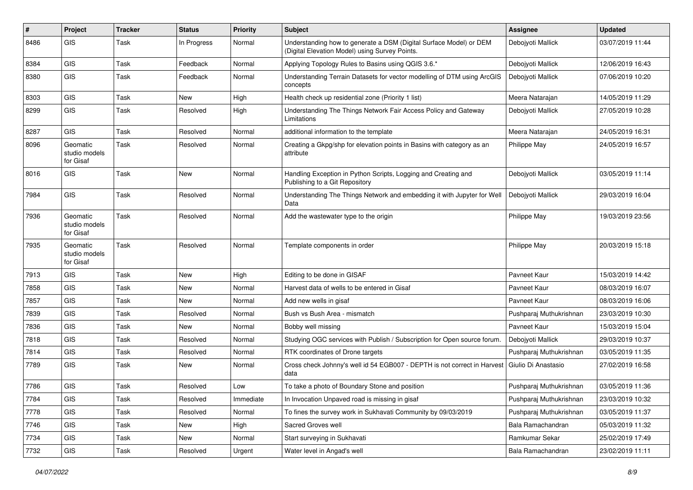| #    | Project                                | <b>Tracker</b> | <b>Status</b> | <b>Priority</b> | Subject                                                                                                              | Assignee                | <b>Updated</b>   |
|------|----------------------------------------|----------------|---------------|-----------------|----------------------------------------------------------------------------------------------------------------------|-------------------------|------------------|
| 8486 | GIS                                    | Task           | In Progress   | Normal          | Understanding how to generate a DSM (Digital Surface Model) or DEM<br>(Digital Elevation Model) using Survey Points. | Debojyoti Mallick       | 03/07/2019 11:44 |
| 8384 | GIS                                    | Task           | Feedback      | Normal          | Applying Topology Rules to Basins using QGIS 3.6.*                                                                   | Debojyoti Mallick       | 12/06/2019 16:43 |
| 8380 | GIS                                    | Task           | Feedback      | Normal          | Understanding Terrain Datasets for vector modelling of DTM using ArcGIS<br>concepts                                  | Debojyoti Mallick       | 07/06/2019 10:20 |
| 8303 | <b>GIS</b>                             | Task           | <b>New</b>    | High            | Health check up residential zone (Priority 1 list)                                                                   | Meera Natarajan         | 14/05/2019 11:29 |
| 8299 | GIS                                    | Task           | Resolved      | High            | Understanding The Things Network Fair Access Policy and Gateway<br>Limitations                                       | Deboivoti Mallick       | 27/05/2019 10:28 |
| 8287 | GIS                                    | Task           | Resolved      | Normal          | additional information to the template                                                                               | Meera Natarajan         | 24/05/2019 16:31 |
| 8096 | Geomatic<br>studio models<br>for Gisaf | Task           | Resolved      | Normal          | Creating a Gkpg/shp for elevation points in Basins with category as an<br>attribute                                  | Philippe May            | 24/05/2019 16:57 |
| 8016 | GIS                                    | Task           | New           | Normal          | Handling Exception in Python Scripts, Logging and Creating and<br>Publishing to a Git Repository                     | Debojyoti Mallick       | 03/05/2019 11:14 |
| 7984 | GIS                                    | Task           | Resolved      | Normal          | Understanding The Things Network and embedding it with Jupyter for Well<br>Data                                      | Debojyoti Mallick       | 29/03/2019 16:04 |
| 7936 | Geomatic<br>studio models<br>for Gisaf | Task           | Resolved      | Normal          | Add the wastewater type to the origin                                                                                | Philippe May            | 19/03/2019 23:56 |
| 7935 | Geomatic<br>studio models<br>for Gisaf | Task           | Resolved      | Normal          | Template components in order                                                                                         | Philippe May            | 20/03/2019 15:18 |
| 7913 | <b>GIS</b>                             | Task           | New           | High            | Editing to be done in GISAF                                                                                          | Pavneet Kaur            | 15/03/2019 14:42 |
| 7858 | GIS                                    | Task           | <b>New</b>    | Normal          | Harvest data of wells to be entered in Gisaf                                                                         | Pavneet Kaur            | 08/03/2019 16:07 |
| 7857 | GIS                                    | Task           | New           | Normal          | Add new wells in gisaf                                                                                               | Pavneet Kaur            | 08/03/2019 16:06 |
| 7839 | GIS                                    | Task           | Resolved      | Normal          | Bush vs Bush Area - mismatch                                                                                         | Pushparaj Muthukrishnan | 23/03/2019 10:30 |
| 7836 | GIS                                    | Task           | <b>New</b>    | Normal          | Bobby well missing                                                                                                   | Pavneet Kaur            | 15/03/2019 15:04 |
| 7818 | GIS                                    | Task           | Resolved      | Normal          | Studying OGC services with Publish / Subscription for Open source forum.                                             | Debojyoti Mallick       | 29/03/2019 10:37 |
| 7814 | GIS                                    | Task           | Resolved      | Normal          | RTK coordinates of Drone targets                                                                                     | Pushparaj Muthukrishnan | 03/05/2019 11:35 |
| 7789 | <b>GIS</b>                             | Task           | New           | Normal          | Cross check Johnny's well id 54 EGB007 - DEPTH is not correct in Harvest<br>data                                     | Giulio Di Anastasio     | 27/02/2019 16:58 |
| 7786 | GIS                                    | Task           | Resolved      | Low             | To take a photo of Boundary Stone and position                                                                       | Pushparaj Muthukrishnan | 03/05/2019 11:36 |
| 7784 | GIS                                    | Task           | Resolved      | Immediate       | In Invocation Unpaved road is missing in gisaf                                                                       | Pushparaj Muthukrishnan | 23/03/2019 10:32 |
| 7778 | GIS                                    | Task           | Resolved      | Normal          | To fines the survey work in Sukhavati Community by 09/03/2019                                                        | Pushparaj Muthukrishnan | 03/05/2019 11:37 |
| 7746 | GIS                                    | Task           | New           | High            | Sacred Groves well                                                                                                   | Bala Ramachandran       | 05/03/2019 11:32 |
| 7734 | GIS                                    | Task           | New           | Normal          | Start surveying in Sukhavati                                                                                         | Ramkumar Sekar          | 25/02/2019 17:49 |
| 7732 | GIS                                    | Task           | Resolved      | Urgent          | Water level in Angad's well                                                                                          | Bala Ramachandran       | 23/02/2019 11:11 |